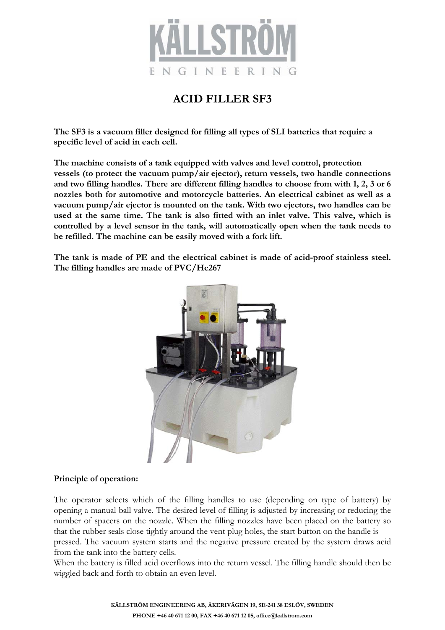

## **ACID FILLER SF3**

**The SF3 is a vacuum filler designed for filling all types of SLI batteries that require a specific level of acid in each cell.** 

**The machine consists of a tank equipped with valves and level control, protection vessels (to protect the vacuum pump/air ejector), return vessels, two handle connections and two filling handles. There are different filling handles to choose from with 1, 2, 3 or 6 nozzles both for automotive and motorcycle batteries. An electrical cabinet as well as a vacuum pump/air ejector is mounted on the tank. With two ejectors, two handles can be used at the same time. The tank is also fitted with an inlet valve. This valve, which is controlled by a level sensor in the tank, will automatically open when the tank needs to be refilled. The machine can be easily moved with a fork lift.**

**The tank is made of PE and the electrical cabinet is made of acid-proof stainless steel. The filling handles are made of PVC/Hc267**



### **Principle of operation:**

The operator selects which of the filling handles to use (depending on type of battery) by opening a manual ball valve. The desired level of filling is adjusted by increasing or reducing the number of spacers on the nozzle. When the filling nozzles have been placed on the battery so that the rubber seals close tightly around the vent plug holes, the start button on the handle is pressed. The vacuum system starts and the negative pressure created by the system draws acid from the tank into the battery cells.

When the battery is filled acid overflows into the return vessel. The filling handle should then be wiggled back and forth to obtain an even level.